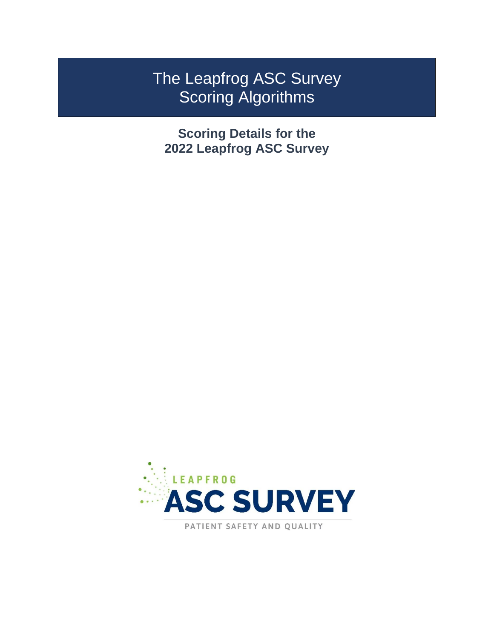# The Leapfrog ASC Survey Scoring Algorithms

**Scoring Details for the 2022 Leapfrog ASC Survey**



PATIENT SAFETY AND QUALITY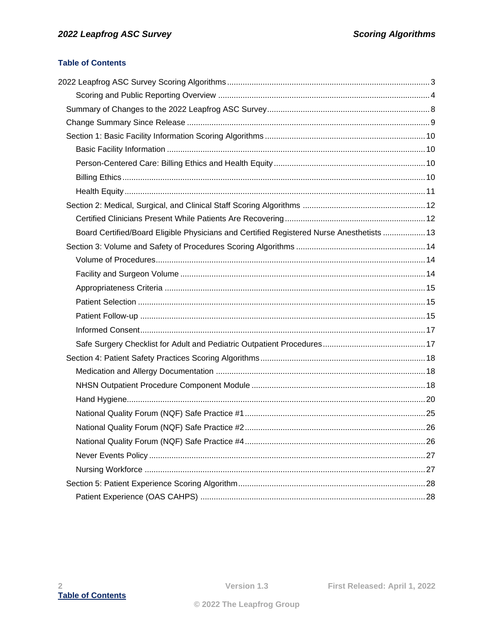#### <span id="page-1-0"></span>**Table of Contents**

| Board Certified/Board Eligible Physicians and Certified Registered Nurse Anesthetists  13 |  |
|-------------------------------------------------------------------------------------------|--|
|                                                                                           |  |
|                                                                                           |  |
|                                                                                           |  |
|                                                                                           |  |
|                                                                                           |  |
|                                                                                           |  |
|                                                                                           |  |
|                                                                                           |  |
|                                                                                           |  |
|                                                                                           |  |
|                                                                                           |  |
|                                                                                           |  |
|                                                                                           |  |
|                                                                                           |  |
|                                                                                           |  |
|                                                                                           |  |
|                                                                                           |  |
|                                                                                           |  |
|                                                                                           |  |
|                                                                                           |  |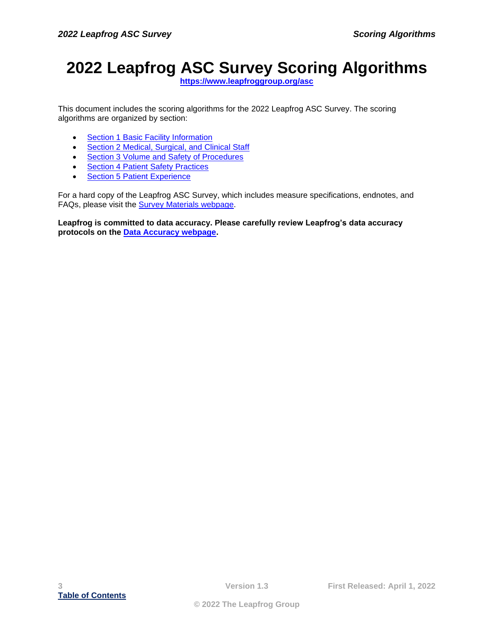# <span id="page-2-0"></span>**2022 Leapfrog ASC Survey Scoring Algorithms**

**<https://www.leapfroggroup.org/asc>**

This document includes the scoring algorithms for the 2022 Leapfrog ASC Survey. The scoring algorithms are organized by section:

- [Section 1 Basic Facility Information](#page-9-0)
- [Section 2 Medical, Surgical, and Clinical Staff](#page-11-0)
- [Section 3 Volume and Safety of Procedures](#page-13-0)
- [Section 4 Patient Safety Practices](#page-17-0)
- [Section 5 Patient Experience](#page-27-0)

For a hard copy of the Leapfrog ASC Survey, which includes measure specifications, endnotes, and FAQs, please visit the [Survey Materials webpage.](https://www.leapfroggroup.org/asc-survey-materials/survey-materials)

**Leapfrog is committed to data accuracy. Please carefully review Leapfrog's data accuracy protocols on the [Data Accuracy webpage.](https://www.leapfroggroup.org/asc-survey-materials/data-accuracy)**

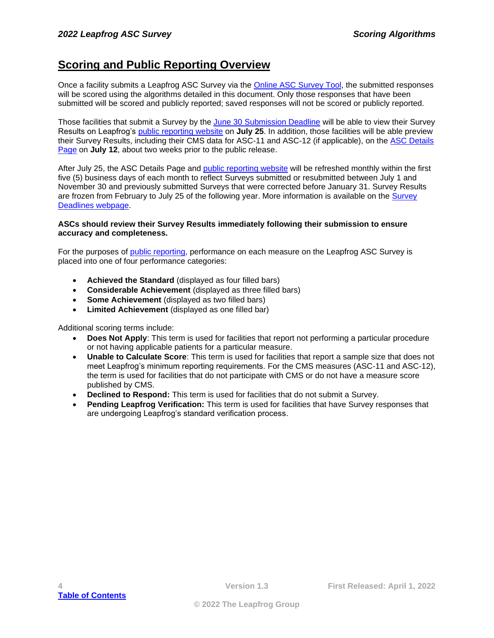## <span id="page-3-0"></span>**Scoring and Public Reporting Overview**

Once a facility submits a Leapfrog ASC Survey via the [Online ASC Survey Tool,](https://survey.leapfroggroup.org/login/asc) the submitted responses will be scored using the algorithms detailed in this document. Only those responses that have been submitted will be scored and publicly reported; saved responses will not be scored or publicly reported.

Those facilities that submit a Survey by the [June 30 Submission Deadline](https://www.leapfroggroup.org/asc-survey-materials/deadlines) will be able to view their Survey Results on Leapfrog's [public reporting website](https://ratings.leapfroggroup.org/) on **July 25**. In addition, those facilities will be able preview their Survey Results, including their CMS data for ASC-11 and ASC-12 (if applicable), on the [ASC Details](https://survey.leapfroggroup.org/login/asc?destination=dashboard)  [Page](https://survey.leapfroggroup.org/login/asc?destination=dashboard) on **July 12**, about two weeks prior to the public release.

After July 25, the ASC Details Page and [public reporting website](https://ratings.leapfroggroup.org/) will be refreshed monthly within the first five (5) business days of each month to reflect Surveys submitted or resubmitted between July 1 and November 30 and previously submitted Surveys that were corrected before January 31. Survey Results are frozen from February to July 25 of the following year. More information is available on the [Survey](https://www.leapfroggroup.org/asc-survey-materials/deadlines)  [Deadlines webpage.](https://www.leapfroggroup.org/asc-survey-materials/deadlines)

#### **ASCs should review their Survey Results immediately following their submission to ensure accuracy and completeness.**

For the purposes of [public reporting,](https://ratings.leapfroggroup.org/) performance on each measure on the Leapfrog ASC Survey is placed into one of four performance categories:

- **Achieved the Standard** (displayed as four filled bars)
- **Considerable Achievement** (displayed as three filled bars)
- **Some Achievement** (displayed as two filled bars)
- **Limited Achievement** (displayed as one filled bar)

Additional scoring terms include:

- **Does Not Apply**: This term is used for facilities that report not performing a particular procedure or not having applicable patients for a particular measure.
- **Unable to Calculate Score**: This term is used for facilities that report a sample size that does not meet Leapfrog's minimum reporting requirements. For the CMS measures (ASC-11 and ASC-12), the term is used for facilities that do not participate with CMS or do not have a measure score published by CMS.
- **Declined to Respond:** This term is used for facilities that do not submit a Survey.
- **Pending Leapfrog Verification:** This term is used for facilities that have Survey responses that are undergoing Leapfrog's standard verification process.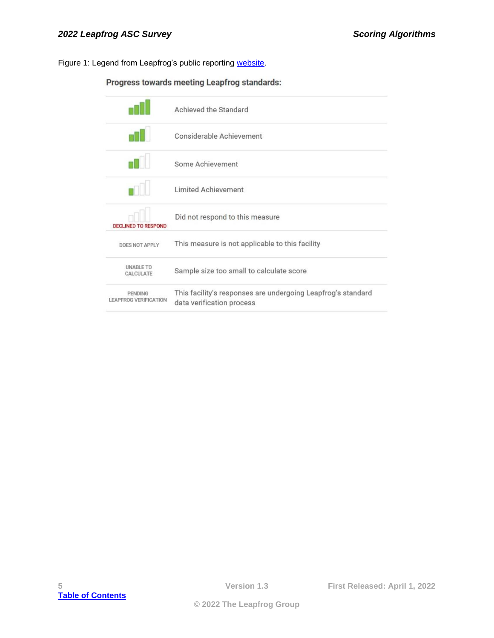Figure 1: Legend from Leapfrog's public reporting [website.](https://ratings.leapfroggroup.org/scoring)

### Progress towards meeting Leapfrog standards:

|                                         | Achieved the Standard                                                                     |
|-----------------------------------------|-------------------------------------------------------------------------------------------|
|                                         | Considerable Achievement                                                                  |
|                                         | Some Achievement                                                                          |
|                                         | <b>Limited Achievement</b>                                                                |
| <b>DECLINED TO RESPOND</b>              | Did not respond to this measure                                                           |
| DOES NOT APPLY                          | This measure is not applicable to this facility                                           |
| <b>UNABLE TO</b><br>CALCULATE           | Sample size too small to calculate score                                                  |
| PENDING<br><b>LEAPFROG VERIFICATION</b> | This facility's responses are undergoing Leapfrog's standard<br>data verification process |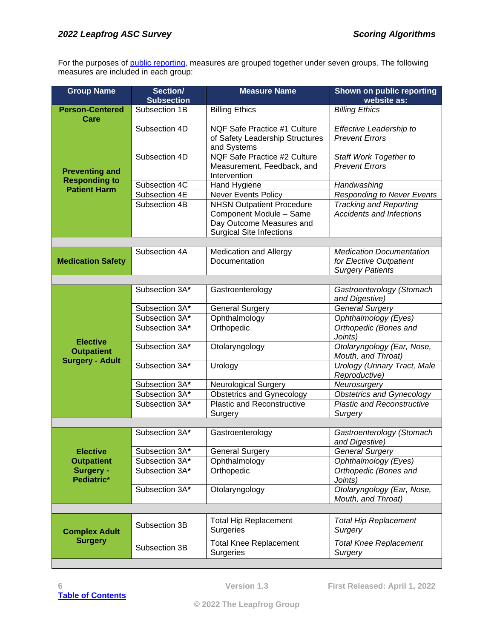For the purposes of [public reporting,](https://ratings.leapfroggroup.org/) measures are grouped together under seven groups. The following measures are included in each group:

| <b>Group Name</b>                             | Section/<br><b>Subsection</b> | <b>Measure Name</b>                                                                                                        | Shown on public reporting<br>website as:                                              |
|-----------------------------------------------|-------------------------------|----------------------------------------------------------------------------------------------------------------------------|---------------------------------------------------------------------------------------|
| <b>Person-Centered</b>                        | Subsection 1B                 | <b>Billing Ethics</b>                                                                                                      | <b>Billing Ethics</b>                                                                 |
| Care                                          | Subsection 4D                 | <b>NQF Safe Practice #1 Culture</b><br>of Safety Leadership Structures<br>and Systems                                      | Effective Leadership to<br><b>Prevent Errors</b>                                      |
| <b>Preventing and</b><br><b>Responding to</b> | Subsection 4D                 | <b>NQF Safe Practice #2 Culture</b><br>Measurement, Feedback, and<br>Intervention                                          | Staff Work Together to<br><b>Prevent Errors</b>                                       |
| <b>Patient Harm</b>                           | Subsection 4C                 | Hand Hygiene                                                                                                               | Handwashing                                                                           |
|                                               | Subsection 4E                 | <b>Never Events Policy</b>                                                                                                 | <b>Responding to Never Events</b>                                                     |
|                                               | Subsection 4B                 | <b>NHSN Outpatient Procedure</b><br>Component Module - Same<br>Day Outcome Measures and<br><b>Surgical Site Infections</b> | <b>Tracking and Reporting</b><br><b>Accidents and Infections</b>                      |
|                                               |                               |                                                                                                                            |                                                                                       |
| <b>Medication Safety</b>                      | Subsection 4A                 | <b>Medication and Allergy</b><br>Documentation                                                                             | <b>Medication Documentation</b><br>for Elective Outpatient<br><b>Surgery Patients</b> |
|                                               |                               |                                                                                                                            |                                                                                       |
|                                               | Subsection 3A*                | Gastroenterology                                                                                                           | Gastroenterology (Stomach<br>and Digestive)                                           |
|                                               | Subsection 3A*                | <b>General Surgery</b>                                                                                                     | General Surgery                                                                       |
|                                               | Subsection 3A*                | Ophthalmology                                                                                                              | Ophthalmology (Eyes)                                                                  |
|                                               | Subsection 3A*                | Orthopedic                                                                                                                 | Orthopedic (Bones and<br>Joints)                                                      |
| <b>Elective</b><br><b>Outpatient</b>          | Subsection 3A*                | Otolaryngology                                                                                                             | Otolaryngology (Ear, Nose,<br>Mouth, and Throat)                                      |
| <b>Surgery - Adult</b>                        | Subsection 3A*                | Urology                                                                                                                    | <b>Urology (Urinary Tract, Male</b><br>Reproductive)                                  |
|                                               | Subsection 3A*                | <b>Neurological Surgery</b>                                                                                                | Neurosurgery                                                                          |
|                                               | Subsection 3A*                | <b>Obstetrics and Gynecology</b>                                                                                           | Obstetrics and Gynecology                                                             |
|                                               | Subsection 3A*                | <b>Plastic and Reconstructive</b><br>Surgery                                                                               | <b>Plastic and Reconstructive</b><br>Surgery                                          |
|                                               |                               |                                                                                                                            |                                                                                       |
|                                               | Subsection 3A*                | Gastroenterology                                                                                                           | Gastroenterology (Stomach<br>and Digestive)                                           |
| <b>Elective</b>                               | Subsection 3A*                | <b>General Surgery</b>                                                                                                     | <b>General Surgery</b>                                                                |
| <b>Outpatient</b>                             | Subsection 3A*                | Ophthalmology                                                                                                              | Ophthalmology (Eyes)                                                                  |
| Surgery -<br>Pediatric*                       | Subsection 3A*                | Orthopedic                                                                                                                 | Orthopedic (Bones and<br>Joints)                                                      |
|                                               | Subsection 3A*                | Otolaryngology                                                                                                             | Otolaryngology (Ear, Nose,<br>Mouth, and Throat)                                      |
|                                               |                               |                                                                                                                            |                                                                                       |
| <b>Complex Adult</b>                          | Subsection 3B                 | <b>Total Hip Replacement</b><br><b>Surgeries</b>                                                                           | <b>Total Hip Replacement</b><br>Surgery                                               |
| <b>Surgery</b>                                | Subsection 3B                 | <b>Total Knee Replacement</b><br>Surgeries                                                                                 | <b>Total Knee Replacement</b><br>Surgery                                              |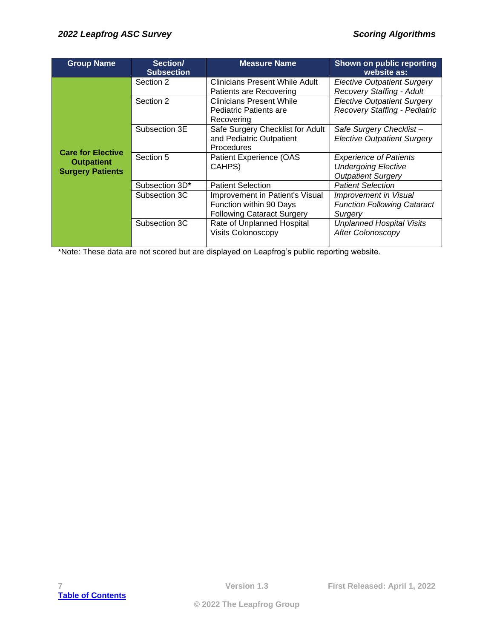| <b>Group Name</b>                            | Section/<br><b>Subsection</b> | <b>Measure Name</b>                                                                             | Shown on public reporting<br>website as:                                                 |
|----------------------------------------------|-------------------------------|-------------------------------------------------------------------------------------------------|------------------------------------------------------------------------------------------|
|                                              | Section 2                     | Clinicians Present While Adult<br>Patients are Recovering                                       | <b>Elective Outpatient Surgery</b><br><b>Recovery Staffing - Adult</b>                   |
|                                              | Section 2                     | <b>Clinicians Present While</b><br><b>Pediatric Patients are</b><br>Recovering                  | <b>Elective Outpatient Surgery</b><br>Recovery Staffing - Pediatric                      |
| <b>Care for Elective</b>                     | Subsection 3E                 | Safe Surgery Checklist for Adult<br>and Pediatric Outpatient<br><b>Procedures</b>               | Safe Surgery Checklist-<br><b>Elective Outpatient Surgery</b>                            |
| <b>Outpatient</b><br><b>Surgery Patients</b> | Section 5                     | Patient Experience (OAS<br>CAHPS)                                                               | <b>Experience of Patients</b><br><b>Undergoing Elective</b><br><b>Outpatient Surgery</b> |
|                                              | Subsection 3D*                | <b>Patient Selection</b>                                                                        | <b>Patient Selection</b>                                                                 |
|                                              | Subsection 3C                 | Improvement in Patient's Visual<br>Function within 90 Days<br><b>Following Cataract Surgery</b> | Improvement in Visual<br><b>Function Following Cataract</b><br>Surgery                   |
|                                              | Subsection 3C                 | Rate of Unplanned Hospital<br><b>Visits Colonoscopy</b>                                         | <b>Unplanned Hospital Visits</b><br><b>After Colonoscopy</b>                             |

\*Note: These data are not scored but are displayed on Leapfrog's public reporting website.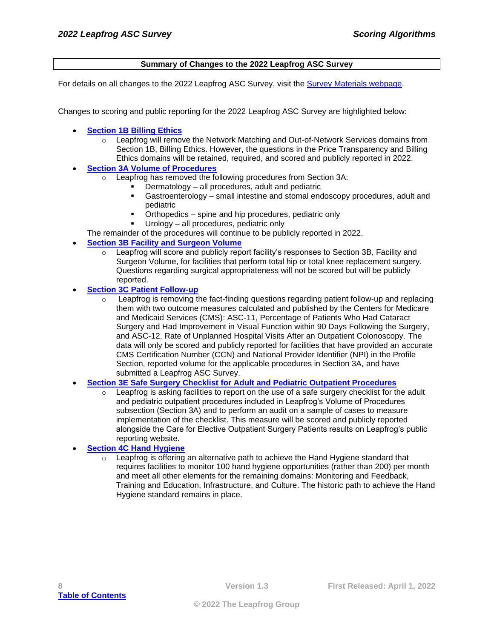#### **Summary of Changes to the 2022 Leapfrog ASC Survey**

<span id="page-7-0"></span>For details on all changes to the 2022 Leapfrog ASC Survey, visit the **Survey Materials webpage.** 

Changes to scoring and public reporting for the 2022 Leapfrog ASC Survey are highlighted below:

- **[Section 1B Billing Ethics](#page-9-2)**
	- $\circ$  Leapfrog will remove the Network Matching and Out-of-Network Services domains from Section 1B, Billing Ethics. However, the questions in the Price Transparency and Billing Ethics domains will be retained, required, and scored and publicly reported in 2022.
- **[Section 3A Volume of Procedures](#page-13-1)**
	- o Leapfrog has removed the following procedures from Section 3A:
		- Dermatology all procedures, adult and pediatric
		- Gastroenterology small intestine and stomal endoscopy procedures, adult and pediatric
		- Orthopedics spine and hip procedures, pediatric only
		- Urology  $-$  all procedures, pediatric only

The remainder of the procedures will continue to be publicly reported in 2022.

- **[Section 3B Facility and Surgeon Volume](#page-13-2)**
	- $\circ$  Leapfrog will score and publicly report facility's responses to Section 3B, Facility and Surgeon Volume, for facilities that perform total hip or total knee replacement surgery. Questions regarding surgical appropriateness will not be scored but will be publicly reported.
- **[Section 3C Patient Follow-up](#page-14-2)** 
	- $\circ$  Leapfrog is removing the fact-finding questions regarding patient follow-up and replacing them with two outcome measures calculated and published by the Centers for Medicare and Medicaid Services (CMS): ASC-11, Percentage of Patients Who Had Cataract Surgery and Had Improvement in Visual Function within 90 Days Following the Surgery, and ASC-12, Rate of Unplanned Hospital Visits After an Outpatient Colonoscopy. The data will only be scored and publicly reported for facilities that have provided an accurate CMS Certification Number (CCN) and National Provider Identifier (NPI) in the Profile Section, reported volume for the applicable procedures in Section 3A, and have submitted a Leapfrog ASC Survey.
- **Section 3E Safe Surgery Checklist [for Adult and Pediatric Outpatient Procedures](#page-16-1)**
	- $\circ$  Leapfrog is asking facilities to report on the use of a safe surgery checklist for the adult and pediatric outpatient procedures included in Leapfrog's Volume of Procedures subsection (Section 3A) and to perform an audit on a sample of cases to measure implementation of the checklist. This measure will be scored and publicly reported alongside the Care for Elective Outpatient Surgery Patients results on Leapfrog's public reporting website.
- **[Section 4C Hand Hygiene](#page-19-0)**
	- $\circ$  Leapfrog is offering an alternative path to achieve the Hand Hygiene standard that requires facilities to monitor 100 hand hygiene opportunities (rather than 200) per month and meet all other elements for the remaining domains: Monitoring and Feedback, Training and Education, Infrastructure, and Culture. The historic path to achieve the Hand Hygiene standard remains in place.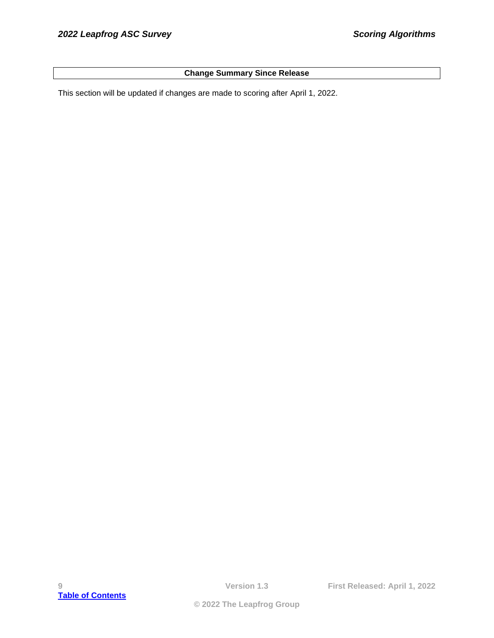#### **Change Summary Since Release**

<span id="page-8-0"></span>This section will be updated if changes are made to scoring after April 1, 2022.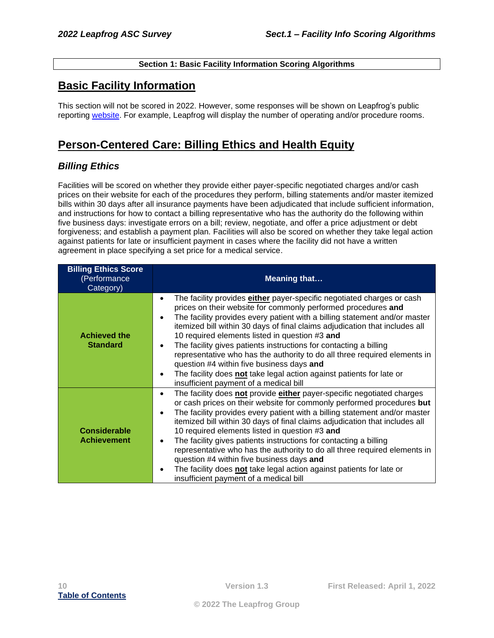#### **Section 1: Basic Facility Information Scoring Algorithms**

## <span id="page-9-1"></span><span id="page-9-0"></span>**Basic Facility Information**

This section will not be scored in 2022. However, some responses will be shown on Leapfrog's public reporting [website.](https://ratings.leapfroggroup.org/) For example, Leapfrog will display the number of operating and/or procedure rooms.

## <span id="page-9-2"></span>**Person-Centered Care: Billing Ethics and Health Equity**

### <span id="page-9-3"></span>*Billing Ethics*

Facilities will be scored on whether they provide either payer-specific negotiated charges and/or cash prices on their website for each of the procedures they perform, billing statements and/or master itemized bills within 30 days after all insurance payments have been adjudicated that include sufficient information, and instructions for how to contact a billing representative who has the authority do the following within five business days: investigate errors on a bill; review, negotiate, and offer a price adjustment or debt forgiveness; and establish a payment plan. Facilities will also be scored on whether they take legal action against patients for late or insufficient payment in cases where the facility did not have a written agreement in place specifying a set price for a medical service.

| <b>Billing Ethics Score</b><br>(Performance<br>Category) | <b>Meaning that</b>                                                                                                                                                                                                                                                                                                                                                                                                                                                                                                                                                                                                                                                                                                                 |
|----------------------------------------------------------|-------------------------------------------------------------------------------------------------------------------------------------------------------------------------------------------------------------------------------------------------------------------------------------------------------------------------------------------------------------------------------------------------------------------------------------------------------------------------------------------------------------------------------------------------------------------------------------------------------------------------------------------------------------------------------------------------------------------------------------|
| <b>Achieved the</b><br><b>Standard</b>                   | The facility provides <b>either</b> payer-specific negotiated charges or cash<br>$\bullet$<br>prices on their website for commonly performed procedures and<br>The facility provides every patient with a billing statement and/or master<br>$\bullet$<br>itemized bill within 30 days of final claims adjudication that includes all<br>10 required elements listed in question #3 and<br>The facility gives patients instructions for contacting a billing<br>$\bullet$<br>representative who has the authority to do all three required elements in<br>question #4 within five business days and<br>The facility does not take legal action against patients for late or<br>$\bullet$<br>insufficient payment of a medical bill  |
| <b>Considerable</b><br><b>Achievement</b>                | The facility does not provide either payer-specific negotiated charges<br>$\bullet$<br>or cash prices on their website for commonly performed procedures but<br>The facility provides every patient with a billing statement and/or master<br>$\bullet$<br>itemized bill within 30 days of final claims adjudication that includes all<br>10 required elements listed in question #3 and<br>The facility gives patients instructions for contacting a billing<br>$\bullet$<br>representative who has the authority to do all three required elements in<br>question #4 within five business days and<br>The facility does not take legal action against patients for late or<br>$\bullet$<br>insufficient payment of a medical bill |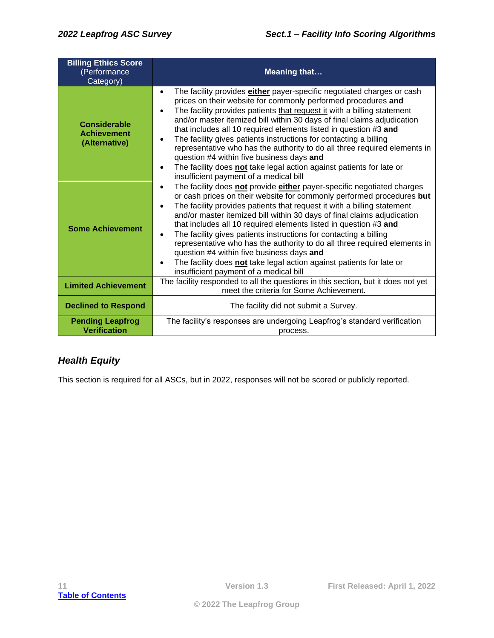| <b>Billing Ethics Score</b><br>(Performance<br>Category)   | <b>Meaning that</b>                                                                                                                                                                                                                                                                                                                                                                                                                                                                                                                                                                                                                                                                                                                    |
|------------------------------------------------------------|----------------------------------------------------------------------------------------------------------------------------------------------------------------------------------------------------------------------------------------------------------------------------------------------------------------------------------------------------------------------------------------------------------------------------------------------------------------------------------------------------------------------------------------------------------------------------------------------------------------------------------------------------------------------------------------------------------------------------------------|
| <b>Considerable</b><br><b>Achievement</b><br>(Alternative) | The facility provides either payer-specific negotiated charges or cash<br>$\bullet$<br>prices on their website for commonly performed procedures and<br>The facility provides patients that request it with a billing statement<br>$\bullet$<br>and/or master itemized bill within 30 days of final claims adjudication<br>that includes all 10 required elements listed in question #3 and<br>The facility gives patients instructions for contacting a billing<br>$\bullet$<br>representative who has the authority to do all three required elements in<br>question #4 within five business days and<br>The facility does not take legal action against patients for late or<br>$\bullet$<br>insufficient payment of a medical bill |
| <b>Some Achievement</b>                                    | The facility does not provide either payer-specific negotiated charges<br>$\bullet$<br>or cash prices on their website for commonly performed procedures but<br>The facility provides patients that request it with a billing statement<br>$\bullet$<br>and/or master itemized bill within 30 days of final claims adjudication<br>that includes all 10 required elements listed in question #3 and<br>The facility gives patients instructions for contacting a billing<br>$\bullet$<br>representative who has the authority to do all three required elements in<br>question #4 within five business days and<br>The facility does not take legal action against patients for late or<br>insufficient payment of a medical bill      |
| <b>Limited Achievement</b>                                 | The facility responded to all the questions in this section, but it does not yet<br>meet the criteria for Some Achievement.                                                                                                                                                                                                                                                                                                                                                                                                                                                                                                                                                                                                            |
| <b>Declined to Respond</b>                                 | The facility did not submit a Survey.                                                                                                                                                                                                                                                                                                                                                                                                                                                                                                                                                                                                                                                                                                  |
| <b>Pending Leapfrog</b><br><b>Verification</b>             | The facility's responses are undergoing Leapfrog's standard verification<br>process.                                                                                                                                                                                                                                                                                                                                                                                                                                                                                                                                                                                                                                                   |

## <span id="page-10-0"></span>*Health Equity*

This section is required for all ASCs, but in 2022, responses will not be scored or publicly reported.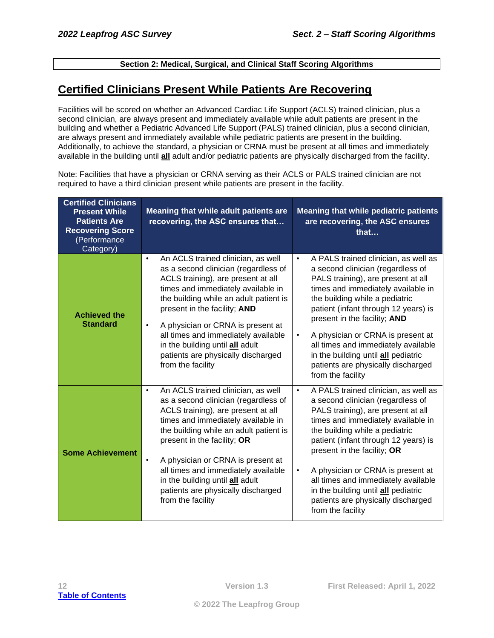#### **Section 2: Medical, Surgical, and Clinical Staff Scoring Algorithms**

## <span id="page-11-1"></span><span id="page-11-0"></span>**Certified Clinicians Present While Patients Are Recovering**

Facilities will be scored on whether an Advanced Cardiac Life Support (ACLS) trained clinician, plus a second clinician, are always present and immediately available while adult patients are present in the building and whether a Pediatric Advanced Life Support (PALS) trained clinician, plus a second clinician, are always present and immediately available while pediatric patients are present in the building. Additionally, to achieve the standard, a physician or CRNA must be present at all times and immediately available in the building until **all** adult and/or pediatric patients are physically discharged from the facility.

Note: Facilities that have a physician or CRNA serving as their ACLS or PALS trained clinician are not required to have a third clinician present while patients are present in the facility.

| <b>Certified Clinicians</b><br><b>Present While</b><br><b>Patients Are</b><br><b>Recovering Score</b><br>(Performance<br>Category) | Meaning that while adult patients are<br>recovering, the ASC ensures that                                                                                                                                                                                                                                                                                                                                                            | <b>Meaning that while pediatric patients</b><br>are recovering, the ASC ensures<br>that                                                                                                                                                                                                                                                                                                                                                                                 |
|------------------------------------------------------------------------------------------------------------------------------------|--------------------------------------------------------------------------------------------------------------------------------------------------------------------------------------------------------------------------------------------------------------------------------------------------------------------------------------------------------------------------------------------------------------------------------------|-------------------------------------------------------------------------------------------------------------------------------------------------------------------------------------------------------------------------------------------------------------------------------------------------------------------------------------------------------------------------------------------------------------------------------------------------------------------------|
| <b>Achieved the</b><br><b>Standard</b>                                                                                             | An ACLS trained clinician, as well<br>$\bullet$<br>as a second clinician (regardless of<br>ACLS training), are present at all<br>times and immediately available in<br>the building while an adult patient is<br>present in the facility; AND<br>A physician or CRNA is present at<br>$\bullet$<br>all times and immediately available<br>in the building until all adult<br>patients are physically discharged<br>from the facility | A PALS trained clinician, as well as<br>$\bullet$<br>a second clinician (regardless of<br>PALS training), are present at all<br>times and immediately available in<br>the building while a pediatric<br>patient (infant through 12 years) is<br>present in the facility; AND<br>A physician or CRNA is present at<br>$\bullet$<br>all times and immediately available<br>in the building until all pediatric<br>patients are physically discharged<br>from the facility |
| <b>Some Achievement</b>                                                                                                            | An ACLS trained clinician, as well<br>$\bullet$<br>as a second clinician (regardless of<br>ACLS training), are present at all<br>times and immediately available in<br>the building while an adult patient is<br>present in the facility; OR<br>A physician or CRNA is present at<br>$\bullet$<br>all times and immediately available<br>in the building until all adult<br>patients are physically discharged<br>from the facility  | A PALS trained clinician, as well as<br>$\bullet$<br>a second clinician (regardless of<br>PALS training), are present at all<br>times and immediately available in<br>the building while a pediatric<br>patient (infant through 12 years) is<br>present in the facility; OR<br>A physician or CRNA is present at<br>$\bullet$<br>all times and immediately available<br>in the building until all pediatric<br>patients are physically discharged<br>from the facility  |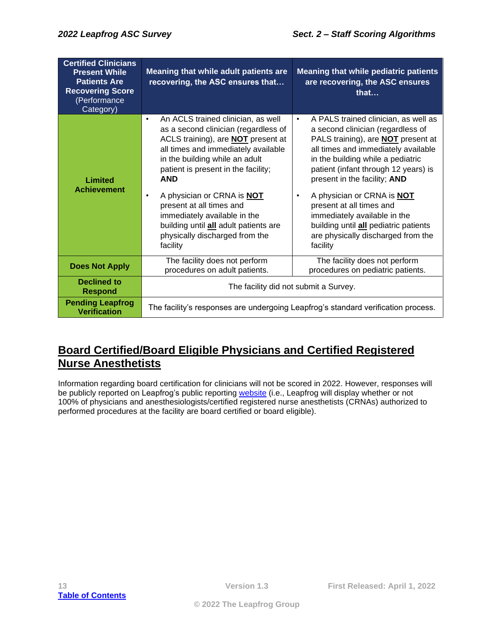| <b>Certified Clinicians</b><br><b>Present While</b><br><b>Patients Are</b><br><b>Recovering Score</b><br>(Performance<br>Category) | Meaning that while adult patients are<br>recovering, the ASC ensures that                                                                                                                                                                                                                                                                                                                                                                                               | <b>Meaning that while pediatric patients</b><br>are recovering, the ASC ensures<br>that                                                                                                                                                                                                                                                                                                                                                                                                          |
|------------------------------------------------------------------------------------------------------------------------------------|-------------------------------------------------------------------------------------------------------------------------------------------------------------------------------------------------------------------------------------------------------------------------------------------------------------------------------------------------------------------------------------------------------------------------------------------------------------------------|--------------------------------------------------------------------------------------------------------------------------------------------------------------------------------------------------------------------------------------------------------------------------------------------------------------------------------------------------------------------------------------------------------------------------------------------------------------------------------------------------|
| Limited<br><b>Achievement</b>                                                                                                      | An ACLS trained clinician, as well<br>$\bullet$<br>as a second clinician (regardless of<br>ACLS training), are <b>NOT</b> present at<br>all times and immediately available<br>in the building while an adult<br>patient is present in the facility;<br><b>AND</b><br>A physician or CRNA is <b>NOT</b><br>$\bullet$<br>present at all times and<br>immediately available in the<br>building until all adult patients are<br>physically discharged from the<br>facility | A PALS trained clinician, as well as<br>$\bullet$<br>a second clinician (regardless of<br>PALS training), are <b>NOT</b> present at<br>all times and immediately available<br>in the building while a pediatric<br>patient (infant through 12 years) is<br>present in the facility; AND<br>A physician or CRNA is <b>NOT</b><br>$\bullet$<br>present at all times and<br>immediately available in the<br>building until all pediatric patients<br>are physically discharged from the<br>facility |
| <b>Does Not Apply</b>                                                                                                              | The facility does not perform<br>procedures on adult patients.                                                                                                                                                                                                                                                                                                                                                                                                          | The facility does not perform<br>procedures on pediatric patients.                                                                                                                                                                                                                                                                                                                                                                                                                               |
| Declined to<br><b>Respond</b>                                                                                                      | The facility did not submit a Survey.                                                                                                                                                                                                                                                                                                                                                                                                                                   |                                                                                                                                                                                                                                                                                                                                                                                                                                                                                                  |
| <b>Pending Leapfrog</b><br><b>Verification</b>                                                                                     |                                                                                                                                                                                                                                                                                                                                                                                                                                                                         | The facility's responses are undergoing Leapfrog's standard verification process.                                                                                                                                                                                                                                                                                                                                                                                                                |

## <span id="page-12-0"></span>**Board Certified/Board Eligible Physicians and Certified Registered Nurse Anesthetists**

Information regarding board certification for clinicians will not be scored in 2022. However, responses will be publicly reported on Leapfrog's public reporting [website](https://ratings.leapfroggroup.org/) (i.e., Leapfrog will display whether or not 100% of physicians and anesthesiologists/certified registered nurse anesthetists (CRNAs) authorized to performed procedures at the facility are board certified or board eligible).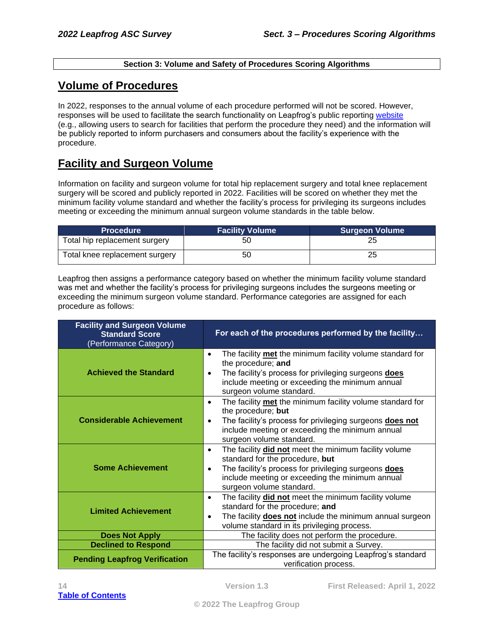#### **Section 3: Volume and Safety of Procedures Scoring Algorithms**

## <span id="page-13-1"></span><span id="page-13-0"></span>**Volume of Procedures**

In 2022, responses to the annual volume of each procedure performed will not be scored. However, responses will be used to facilitate the search functionality on Leapfrog's public reporting [website](https://ratings.leapfroggroup.org/) (e.g., allowing users to search for facilities that perform the procedure they need) and the information will be publicly reported to inform purchasers and consumers about the facility's experience with the procedure.

## <span id="page-13-2"></span>**Facility and Surgeon Volume**

Information on facility and surgeon volume for total hip replacement surgery and total knee replacement surgery will be scored and publicly reported in 2022. Facilities will be scored on whether they met the minimum facility volume standard and whether the facility's process for privileging its surgeons includes meeting or exceeding the minimum annual surgeon volume standards in the table below.

| <b>Procedure</b>               | <b>Facility Volume</b> | <b>Surgeon Volume</b> |
|--------------------------------|------------------------|-----------------------|
| Total hip replacement surgery  | 50                     | 25                    |
| Total knee replacement surgery | 50                     | 25                    |

Leapfrog then assigns a performance category based on whether the minimum facility volume standard was met and whether the facility's process for privileging surgeons includes the surgeons meeting or exceeding the minimum surgeon volume standard. Performance categories are assigned for each procedure as follows:

| <b>Facility and Surgeon Volume</b><br><b>Standard Score</b><br>(Performance Category) | For each of the procedures performed by the facility                                                                                                                                                                                                             |
|---------------------------------------------------------------------------------------|------------------------------------------------------------------------------------------------------------------------------------------------------------------------------------------------------------------------------------------------------------------|
| <b>Achieved the Standard</b>                                                          | The facility met the minimum facility volume standard for<br>$\bullet$<br>the procedure; and<br>The facility's process for privileging surgeons does<br>$\bullet$<br>include meeting or exceeding the minimum annual<br>surgeon volume standard.                 |
| <b>Considerable Achievement</b>                                                       | The facility met the minimum facility volume standard for<br>$\bullet$<br>the procedure; but<br>The facility's process for privileging surgeons does not<br>$\bullet$<br>include meeting or exceeding the minimum annual<br>surgeon volume standard.             |
| <b>Some Achievement</b>                                                               | The facility <b>did not</b> meet the minimum facility volume<br>$\bullet$<br>standard for the procedure, but<br>The facility's process for privileging surgeons does<br>$\bullet$<br>include meeting or exceeding the minimum annual<br>surgeon volume standard. |
| <b>Limited Achievement</b>                                                            | The facility <b>did not</b> meet the minimum facility volume<br>$\bullet$<br>standard for the procedure; and<br>The facility <b>does not</b> include the minimum annual surgeon<br>$\bullet$<br>volume standard in its privileging process.                      |
| <b>Does Not Apply</b>                                                                 | The facility does not perform the procedure.                                                                                                                                                                                                                     |
| <b>Declined to Respond</b>                                                            | The facility did not submit a Survey.                                                                                                                                                                                                                            |
| <b>Pending Leapfrog Verification</b>                                                  | The facility's responses are undergoing Leapfrog's standard<br>verification process.                                                                                                                                                                             |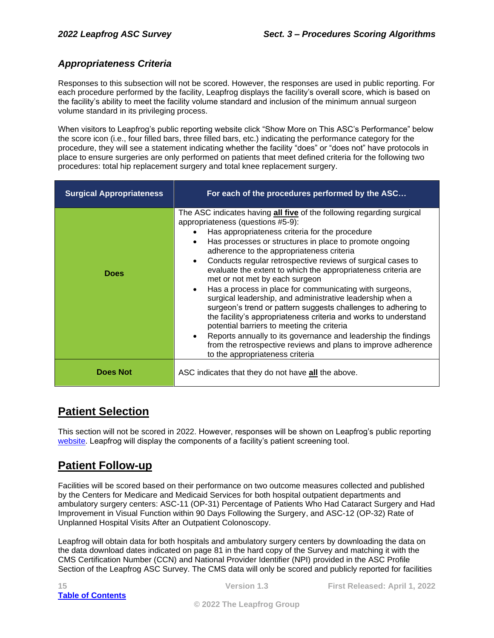#### <span id="page-14-0"></span>*Appropriateness Criteria*

Responses to this subsection will not be scored. However, the responses are used in public reporting. For each procedure performed by the facility, Leapfrog displays the facility's overall score, which is based on the facility's ability to meet the facility volume standard and inclusion of the minimum annual surgeon volume standard in its privileging process.

When visitors to Leapfrog's public reporting website click "Show More on This ASC's Performance" below the score icon (i.e., four filled bars, three filled bars, etc.) indicating the performance category for the procedure, they will see a statement indicating whether the facility "does" or "does not" have protocols in place to ensure surgeries are only performed on patients that meet defined criteria for the following two procedures: total hip replacement surgery and total knee replacement surgery.

| <b>Surgical Appropriateness</b> | For each of the procedures performed by the ASC                                                                                                                                                                                                                                                                                                                                                                                                                                                                                                                                                                                                                                                                                                                                                                                                                                                                                                                            |
|---------------------------------|----------------------------------------------------------------------------------------------------------------------------------------------------------------------------------------------------------------------------------------------------------------------------------------------------------------------------------------------------------------------------------------------------------------------------------------------------------------------------------------------------------------------------------------------------------------------------------------------------------------------------------------------------------------------------------------------------------------------------------------------------------------------------------------------------------------------------------------------------------------------------------------------------------------------------------------------------------------------------|
| <b>Does</b>                     | The ASC indicates having all five of the following regarding surgical<br>appropriateness (questions #5-9):<br>Has appropriateness criteria for the procedure<br>Has processes or structures in place to promote ongoing<br>$\bullet$<br>adherence to the appropriateness criteria<br>Conducts regular retrospective reviews of surgical cases to<br>$\bullet$<br>evaluate the extent to which the appropriateness criteria are<br>met or not met by each surgeon<br>Has a process in place for communicating with surgeons,<br>$\bullet$<br>surgical leadership, and administrative leadership when a<br>surgeon's trend or pattern suggests challenges to adhering to<br>the facility's appropriateness criteria and works to understand<br>potential barriers to meeting the criteria<br>Reports annually to its governance and leadership the findings<br>$\bullet$<br>from the retrospective reviews and plans to improve adherence<br>to the appropriateness criteria |
| <b>Does Not</b>                 | ASC indicates that they do not have all the above.                                                                                                                                                                                                                                                                                                                                                                                                                                                                                                                                                                                                                                                                                                                                                                                                                                                                                                                         |

## <span id="page-14-1"></span>**Patient Selection**

This section will not be scored in 2022. However, responses will be shown on Leapfrog's public reporting [website.](https://ratings.leapfroggroup.org/) Leapfrog will display the components of a facility's patient screening tool.

## <span id="page-14-2"></span>**Patient Follow-up**

Facilities will be scored based on their performance on two outcome measures collected and published by the Centers for Medicare and Medicaid Services for both hospital outpatient departments and ambulatory surgery centers: ASC-11 (OP-31) Percentage of Patients Who Had Cataract Surgery and Had Improvement in Visual Function within 90 Days Following the Surgery, and ASC-12 (OP-32) Rate of Unplanned Hospital Visits After an Outpatient Colonoscopy.

Leapfrog will obtain data for both hospitals and ambulatory surgery centers by downloading the data on the data download dates indicated on page 81 in the hard copy of the Survey and matching it with the CMS Certification Number (CCN) and National Provider Identifier (NPI) provided in the ASC Profile Section of the Leapfrog ASC Survey. The CMS data will only be scored and publicly reported for facilities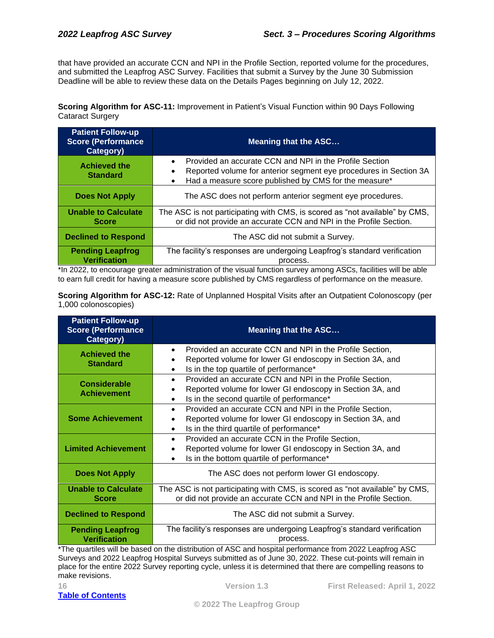that have provided an accurate CCN and NPI in the Profile Section, reported volume for the procedures, and submitted the Leapfrog ASC Survey. Facilities that submit a Survey by the June 30 Submission Deadline will be able to review these data on the Details Pages beginning on July 12, 2022.

**Scoring Algorithm for ASC-11:** Improvement in Patient's Visual Function within 90 Days Following Cataract Surgery

| <b>Patient Follow-up</b><br><b>Score (Performance)</b><br>Category) | <b>Meaning that the ASC</b>                                                                                                                                                                        |  |
|---------------------------------------------------------------------|----------------------------------------------------------------------------------------------------------------------------------------------------------------------------------------------------|--|
| <b>Achieved the</b><br><b>Standard</b>                              | Provided an accurate CCN and NPI in the Profile Section<br>Reported volume for anterior segment eye procedures in Section 3A<br>Had a measure score published by CMS for the measure*<br>$\bullet$ |  |
| <b>Does Not Apply</b>                                               | The ASC does not perform anterior segment eye procedures.                                                                                                                                          |  |
| <b>Unable to Calculate</b><br><b>Score</b>                          | The ASC is not participating with CMS, is scored as "not available" by CMS,<br>or did not provide an accurate CCN and NPI in the Profile Section.                                                  |  |
| <b>Declined to Respond</b>                                          | The ASC did not submit a Survey.                                                                                                                                                                   |  |
| <b>Pending Leapfrog</b><br><b>Verification</b>                      | The facility's responses are undergoing Leapfrog's standard verification<br>process.                                                                                                               |  |

\*In 2022, to encourage greater administration of the visual function survey among ASCs, facilities will be able to earn full credit for having a measure score published by CMS regardless of performance on the measure.

**Scoring Algorithm for ASC-12:** Rate of Unplanned Hospital Visits after an Outpatient Colonoscopy (per 1,000 colonoscopies)

| <b>Patient Follow-up</b><br><b>Score (Performance)</b><br>Category) | <b>Meaning that the ASC</b>                                                                                                                                                                  |  |
|---------------------------------------------------------------------|----------------------------------------------------------------------------------------------------------------------------------------------------------------------------------------------|--|
| <b>Achieved the</b><br><b>Standard</b>                              | Provided an accurate CCN and NPI in the Profile Section,<br>$\bullet$<br>Reported volume for lower GI endoscopy in Section 3A, and<br>Is in the top quartile of performance*<br>$\bullet$    |  |
| <b>Considerable</b><br><b>Achievement</b>                           | Provided an accurate CCN and NPI in the Profile Section,<br>$\bullet$<br>Reported volume for lower GI endoscopy in Section 3A, and<br>Is in the second quartile of performance*<br>$\bullet$ |  |
| <b>Some Achievement</b>                                             | Provided an accurate CCN and NPI in the Profile Section,<br>$\bullet$<br>Reported volume for lower GI endoscopy in Section 3A, and<br>Is in the third quartile of performance*<br>$\bullet$  |  |
| <b>Limited Achievement</b>                                          | Provided an accurate CCN in the Profile Section,<br>$\bullet$<br>Reported volume for lower GI endoscopy in Section 3A, and<br>Is in the bottom quartile of performance*<br>$\bullet$         |  |
| <b>Does Not Apply</b>                                               | The ASC does not perform lower GI endoscopy.                                                                                                                                                 |  |
| <b>Unable to Calculate</b><br><b>Score</b>                          | The ASC is not participating with CMS, is scored as "not available" by CMS,<br>or did not provide an accurate CCN and NPI in the Profile Section.                                            |  |
| <b>Declined to Respond</b>                                          | The ASC did not submit a Survey.                                                                                                                                                             |  |
| <b>Pending Leapfrog</b><br><b>Verification</b>                      | The facility's responses are undergoing Leapfrog's standard verification<br>process.                                                                                                         |  |

\*The quartiles will be based on the distribution of ASC and hospital performance from 2022 Leapfrog ASC Surveys and 2022 Leapfrog Hospital Surveys submitted as of June 30, 2022. These cut-points will remain in place for the entire 2022 Survey reporting cycle, unless it is determined that there are compelling reasons to make revisions.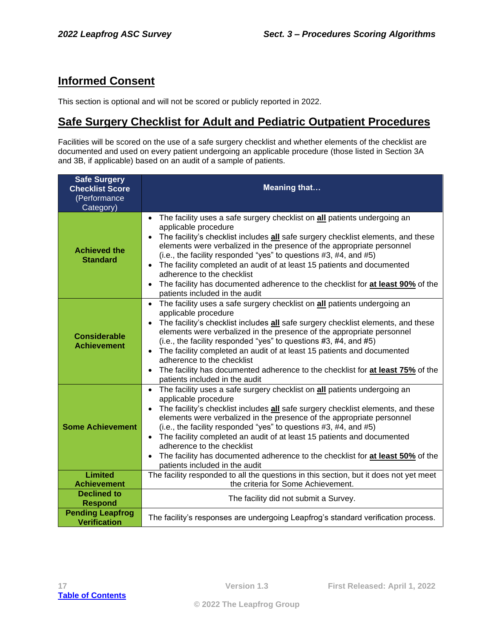## <span id="page-16-0"></span>**Informed Consent**

This section is optional and will not be scored or publicly reported in 2022.

## <span id="page-16-1"></span>**Safe Surgery Checklist for Adult and Pediatric Outpatient Procedures**

Facilities will be scored on the use of a safe surgery checklist and whether elements of the checklist are documented and used on every patient undergoing an applicable procedure (those listed in Section 3A and 3B, if applicable) based on an audit of a sample of patients.

| <b>Safe Surgery</b><br><b>Checklist Score</b><br>(Performance<br>Category) | <b>Meaning that</b>                                                                                                                                                                                                                                                                                                                                                                                                                                                                                                                                                                                  |
|----------------------------------------------------------------------------|------------------------------------------------------------------------------------------------------------------------------------------------------------------------------------------------------------------------------------------------------------------------------------------------------------------------------------------------------------------------------------------------------------------------------------------------------------------------------------------------------------------------------------------------------------------------------------------------------|
| <b>Achieved the</b><br><b>Standard</b>                                     | The facility uses a safe surgery checklist on all patients undergoing an<br>applicable procedure<br>The facility's checklist includes all safe surgery checklist elements, and these<br>elements were verbalized in the presence of the appropriate personnel<br>(i.e., the facility responded "yes" to questions #3, #4, and #5)<br>The facility completed an audit of at least 15 patients and documented<br>adherence to the checklist<br>The facility has documented adherence to the checklist for at least 90% of the<br>patients included in the audit                                        |
| <b>Considerable</b><br><b>Achievement</b>                                  | The facility uses a safe surgery checklist on all patients undergoing an<br>$\bullet$<br>applicable procedure<br>The facility's checklist includes all safe surgery checklist elements, and these<br>elements were verbalized in the presence of the appropriate personnel<br>(i.e., the facility responded "yes" to questions #3, #4, and #5)<br>The facility completed an audit of at least 15 patients and documented<br>$\bullet$<br>adherence to the checklist<br>The facility has documented adherence to the checklist for at least 75% of the<br>$\bullet$<br>patients included in the audit |
| <b>Some Achievement</b>                                                    | • The facility uses a safe surgery checklist on all patients undergoing an<br>applicable procedure<br>The facility's checklist includes all safe surgery checklist elements, and these<br>elements were verbalized in the presence of the appropriate personnel<br>(i.e., the facility responded "yes" to questions #3, #4, and #5)<br>• The facility completed an audit of at least 15 patients and documented<br>adherence to the checklist<br>The facility has documented adherence to the checklist for at least 50% of the<br>patients included in the audit                                    |
| <b>Limited</b><br><b>Achievement</b>                                       | The facility responded to all the questions in this section, but it does not yet meet<br>the criteria for Some Achievement.                                                                                                                                                                                                                                                                                                                                                                                                                                                                          |
| <b>Declined to</b><br><b>Respond</b>                                       | The facility did not submit a Survey.                                                                                                                                                                                                                                                                                                                                                                                                                                                                                                                                                                |
| <b>Pending Leapfrog</b><br><b>Verification</b>                             | The facility's responses are undergoing Leapfrog's standard verification process.                                                                                                                                                                                                                                                                                                                                                                                                                                                                                                                    |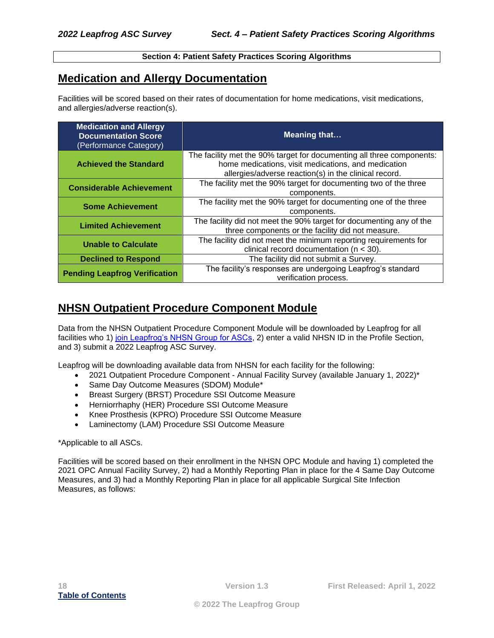#### **Section 4: Patient Safety Practices Scoring Algorithms**

## <span id="page-17-1"></span><span id="page-17-0"></span>**Medication and Allergy Documentation**

Facilities will be scored based on their rates of documentation for home medications, visit medications, and allergies/adverse reaction(s).

| <b>Medication and Allergy</b><br><b>Documentation Score</b><br>(Performance Category) | <b>Meaning that</b>                                                                                                                                                                   |
|---------------------------------------------------------------------------------------|---------------------------------------------------------------------------------------------------------------------------------------------------------------------------------------|
| <b>Achieved the Standard</b>                                                          | The facility met the 90% target for documenting all three components:<br>home medications, visit medications, and medication<br>allergies/adverse reaction(s) in the clinical record. |
| <b>Considerable Achievement</b>                                                       | The facility met the 90% target for documenting two of the three<br>components.                                                                                                       |
| <b>Some Achievement</b>                                                               | The facility met the 90% target for documenting one of the three<br>components.                                                                                                       |
| <b>Limited Achievement</b>                                                            | The facility did not meet the 90% target for documenting any of the<br>three components or the facility did not measure.                                                              |
| <b>Unable to Calculate</b>                                                            | The facility did not meet the minimum reporting requirements for<br>clinical record documentation ( $n < 30$ ).                                                                       |
| <b>Declined to Respond</b>                                                            | The facility did not submit a Survey.                                                                                                                                                 |
| <b>Pending Leapfrog Verification</b>                                                  | The facility's responses are undergoing Leapfrog's standard<br>verification process.                                                                                                  |

## <span id="page-17-2"></span>**NHSN Outpatient Procedure Component Module**

Data from the NHSN Outpatient Procedure Component Module will be downloaded by Leapfrog for all facilities who 1) [join Leapfrog's NHSN Group for ASCs,](https://www.leapfroggroup.org/asc-survey-materials/join-asc-nhsn-group) 2) enter a valid NHSN ID in the Profile Section, and 3) submit a 2022 Leapfrog ASC Survey.

Leapfrog will be downloading available data from NHSN for each facility for the following:

- 2021 Outpatient Procedure Component Annual Facility Survey (available January 1, 2022)\*
- Same Day Outcome Measures (SDOM) Module\*
- Breast Surgery (BRST) Procedure SSI Outcome Measure
- Herniorrhaphy (HER) Procedure SSI Outcome Measure
- Knee Prosthesis (KPRO) Procedure SSI Outcome Measure
- Laminectomy (LAM) Procedure SSI Outcome Measure

#### \*Applicable to all ASCs.

Facilities will be scored based on their enrollment in the NHSN OPC Module and having 1) completed the 2021 OPC Annual Facility Survey, 2) had a Monthly Reporting Plan in place for the 4 Same Day Outcome Measures, and 3) had a Monthly Reporting Plan in place for all applicable Surgical Site Infection Measures, as follows: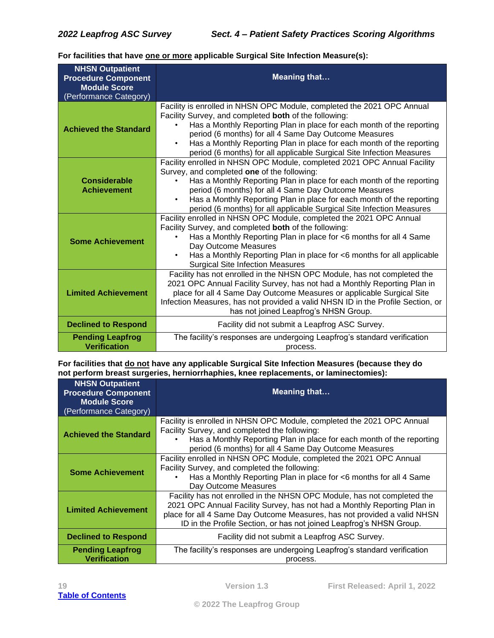**For facilities that have one or more applicable Surgical Site Infection Measure(s):** 

| <b>NHSN Outpatient</b><br><b>Procedure Component</b><br><b>Module Score</b><br>(Performance Category) | <b>Meaning that</b>                                                                                                                                                                                                                                                                                                                                                                                                 |
|-------------------------------------------------------------------------------------------------------|---------------------------------------------------------------------------------------------------------------------------------------------------------------------------------------------------------------------------------------------------------------------------------------------------------------------------------------------------------------------------------------------------------------------|
| <b>Achieved the Standard</b>                                                                          | Facility is enrolled in NHSN OPC Module, completed the 2021 OPC Annual<br>Facility Survey, and completed both of the following:<br>Has a Monthly Reporting Plan in place for each month of the reporting<br>period (6 months) for all 4 Same Day Outcome Measures<br>Has a Monthly Reporting Plan in place for each month of the reporting<br>period (6 months) for all applicable Surgical Site Infection Measures |
| <b>Considerable</b><br><b>Achievement</b>                                                             | Facility enrolled in NHSN OPC Module, completed 2021 OPC Annual Facility<br>Survey, and completed one of the following:<br>Has a Monthly Reporting Plan in place for each month of the reporting<br>period (6 months) for all 4 Same Day Outcome Measures<br>Has a Monthly Reporting Plan in place for each month of the reporting<br>period (6 months) for all applicable Surgical Site Infection Measures         |
| <b>Some Achievement</b>                                                                               | Facility enrolled in NHSN OPC Module, completed the 2021 OPC Annual<br>Facility Survey, and completed both of the following:<br>Has a Monthly Reporting Plan in place for <6 months for all 4 Same<br>Day Outcome Measures<br>Has a Monthly Reporting Plan in place for <6 months for all applicable<br>$\bullet$<br><b>Surgical Site Infection Measures</b>                                                        |
| <b>Limited Achievement</b>                                                                            | Facility has not enrolled in the NHSN OPC Module, has not completed the<br>2021 OPC Annual Facility Survey, has not had a Monthly Reporting Plan in<br>place for all 4 Same Day Outcome Measures or applicable Surgical Site<br>Infection Measures, has not provided a valid NHSN ID in the Profile Section, or<br>has not joined Leapfrog's NHSN Group.                                                            |
| <b>Declined to Respond</b>                                                                            | Facility did not submit a Leapfrog ASC Survey.                                                                                                                                                                                                                                                                                                                                                                      |
| <b>Pending Leapfrog</b><br><b>Verification</b>                                                        | The facility's responses are undergoing Leapfrog's standard verification<br>process.                                                                                                                                                                                                                                                                                                                                |

**For facilities that do not have any applicable Surgical Site Infection Measures (because they do not perform breast surgeries, herniorrhaphies, knee replacements, or laminectomies):**

| <b>NHSN Outpatient</b><br><b>Procedure Component</b><br><b>Module Score</b><br>(Performance Category) | <b>Meaning that</b>                                                                                                                                                                                                                                                                                    |  |
|-------------------------------------------------------------------------------------------------------|--------------------------------------------------------------------------------------------------------------------------------------------------------------------------------------------------------------------------------------------------------------------------------------------------------|--|
| <b>Achieved the Standard</b>                                                                          | Facility is enrolled in NHSN OPC Module, completed the 2021 OPC Annual<br>Facility Survey, and completed the following:<br>Has a Monthly Reporting Plan in place for each month of the reporting<br>period (6 months) for all 4 Same Day Outcome Measures                                              |  |
| <b>Some Achievement</b>                                                                               | Facility enrolled in NHSN OPC Module, completed the 2021 OPC Annual<br>Facility Survey, and completed the following:<br>Has a Monthly Reporting Plan in place for <6 months for all 4 Same<br>Day Outcome Measures                                                                                     |  |
| <b>Limited Achievement</b>                                                                            | Facility has not enrolled in the NHSN OPC Module, has not completed the<br>2021 OPC Annual Facility Survey, has not had a Monthly Reporting Plan in<br>place for all 4 Same Day Outcome Measures, has not provided a valid NHSN<br>ID in the Profile Section, or has not joined Leapfrog's NHSN Group. |  |
| <b>Declined to Respond</b>                                                                            | Facility did not submit a Leapfrog ASC Survey.                                                                                                                                                                                                                                                         |  |
| <b>Pending Leapfrog</b><br><b>Verification</b>                                                        | The facility's responses are undergoing Leapfrog's standard verification<br>process.                                                                                                                                                                                                                   |  |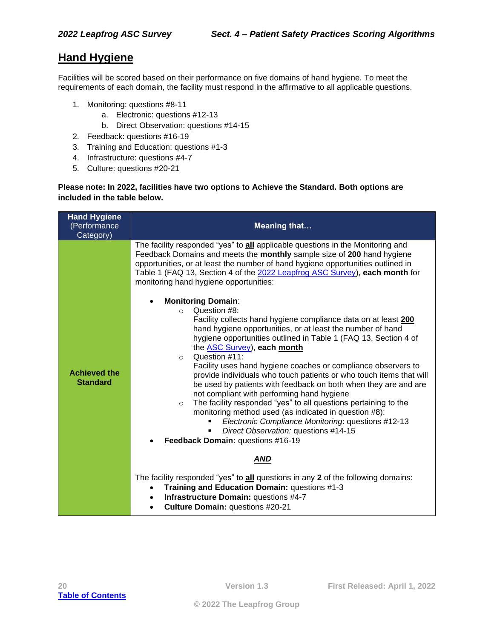## <span id="page-19-0"></span>**Hand Hygiene**

Facilities will be scored based on their performance on five domains of hand hygiene. To meet the requirements of each domain, the facility must respond in the affirmative to all applicable questions.

- 1. Monitoring: questions #8-11
	- a. Electronic: questions #12-13
	- b. Direct Observation: questions #14-15
- 2. Feedback: questions #16-19
- 3. Training and Education: questions #1-3
- 4. Infrastructure: questions #4-7
- 5. Culture: questions #20-21

#### **Please note: In 2022, facilities have two options to Achieve the Standard. Both options are included in the table below.**

| <b>Meaning that</b>                                                                                                                                                                                                                                                                                                                                                                                                                                                                                                                                                                                                                                                                                                                                                                                                                                                                                                                                                                                                                                                                                                                                                                                                                                                                                                                          |
|----------------------------------------------------------------------------------------------------------------------------------------------------------------------------------------------------------------------------------------------------------------------------------------------------------------------------------------------------------------------------------------------------------------------------------------------------------------------------------------------------------------------------------------------------------------------------------------------------------------------------------------------------------------------------------------------------------------------------------------------------------------------------------------------------------------------------------------------------------------------------------------------------------------------------------------------------------------------------------------------------------------------------------------------------------------------------------------------------------------------------------------------------------------------------------------------------------------------------------------------------------------------------------------------------------------------------------------------|
| The facility responded "yes" to all applicable questions in the Monitoring and<br>Feedback Domains and meets the monthly sample size of 200 hand hygiene<br>opportunities, or at least the number of hand hygiene opportunities outlined in<br>Table 1 (FAQ 13, Section 4 of the 2022 Leapfrog ASC Survey), each month for<br>monitoring hand hygiene opportunities:<br><b>Monitoring Domain:</b><br>$\bullet$<br>Question #8:<br>$\circ$<br>Facility collects hand hygiene compliance data on at least 200<br>hand hygiene opportunities, or at least the number of hand<br>hygiene opportunities outlined in Table 1 (FAQ 13, Section 4 of<br>the ASC Survey), each month<br>Question #11:<br>$\circ$<br>Facility uses hand hygiene coaches or compliance observers to<br>provide individuals who touch patients or who touch items that will<br>be used by patients with feedback on both when they are and are<br>not compliant with performing hand hygiene<br>The facility responded "yes" to all questions pertaining to the<br>$\circ$<br>monitoring method used (as indicated in question #8):<br>Electronic Compliance Monitoring: questions #12-13<br>Direct Observation: questions #14-15<br>Feedback Domain: questions #16-19<br><b>AND</b><br>The facility responded "yes" to all questions in any 2 of the following domains: |
| Training and Education Domain: questions #1-3<br>$\bullet$<br>Infrastructure Domain: questions #4-7<br>٠<br>Culture Domain: questions #20-21<br>$\bullet$                                                                                                                                                                                                                                                                                                                                                                                                                                                                                                                                                                                                                                                                                                                                                                                                                                                                                                                                                                                                                                                                                                                                                                                    |
|                                                                                                                                                                                                                                                                                                                                                                                                                                                                                                                                                                                                                                                                                                                                                                                                                                                                                                                                                                                                                                                                                                                                                                                                                                                                                                                                              |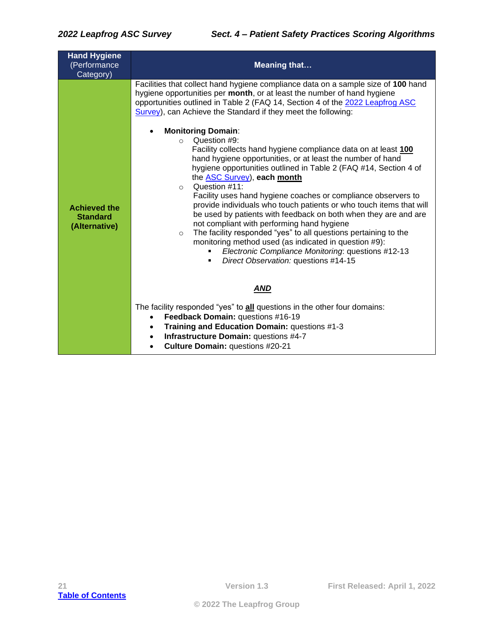| <b>Hand Hygiene</b><br>(Performance<br>Category)        | <b>Meaning that</b>                                                                                                                                                                                                                                                                                                                                                                                                                                                                                                                                                                                                                                                                                                                                                                                                                                                                                                                                                                                                                                                                                                                                |
|---------------------------------------------------------|----------------------------------------------------------------------------------------------------------------------------------------------------------------------------------------------------------------------------------------------------------------------------------------------------------------------------------------------------------------------------------------------------------------------------------------------------------------------------------------------------------------------------------------------------------------------------------------------------------------------------------------------------------------------------------------------------------------------------------------------------------------------------------------------------------------------------------------------------------------------------------------------------------------------------------------------------------------------------------------------------------------------------------------------------------------------------------------------------------------------------------------------------|
| <b>Achieved the</b><br><b>Standard</b><br>(Alternative) | Facilities that collect hand hygiene compliance data on a sample size of 100 hand<br>hygiene opportunities per month, or at least the number of hand hygiene<br>opportunities outlined in Table 2 (FAQ 14, Section 4 of the 2022 Leapfrog ASC<br>Survey), can Achieve the Standard if they meet the following:<br><b>Monitoring Domain:</b><br>Question #9:<br>$\Omega$<br>Facility collects hand hygiene compliance data on at least 100<br>hand hygiene opportunities, or at least the number of hand<br>hygiene opportunities outlined in Table 2 (FAQ #14, Section 4 of<br>the <b>ASC Survey</b> ), each month<br>Question #11:<br>$\Omega$<br>Facility uses hand hygiene coaches or compliance observers to<br>provide individuals who touch patients or who touch items that will<br>be used by patients with feedback on both when they are and are<br>not compliant with performing hand hygiene<br>The facility responded "yes" to all questions pertaining to the<br>$\circ$<br>monitoring method used (as indicated in question #9):<br>Electronic Compliance Monitoring: questions #12-13<br>Direct Observation: questions #14-15<br>٠ |
|                                                         | <b>AND</b><br>The facility responded "yes" to all questions in the other four domains:<br>Feedback Domain: questions #16-19<br>$\bullet$<br>Training and Education Domain: questions #1-3<br>$\bullet$<br>Infrastructure Domain: questions #4-7<br>$\bullet$<br>Culture Domain: questions #20-21<br>$\bullet$                                                                                                                                                                                                                                                                                                                                                                                                                                                                                                                                                                                                                                                                                                                                                                                                                                      |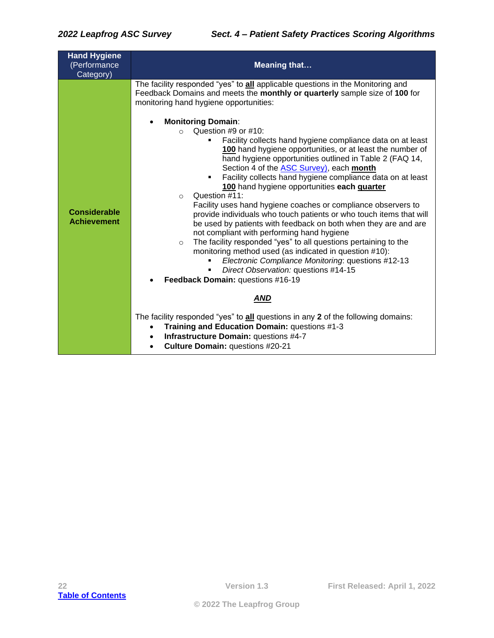| <b>Hand Hygiene</b><br>(Performance<br>Category) | <b>Meaning that</b>                                                                                                                                                                                                                                                                                                                                                                                                                                                                                                                                                                                                                                                                                                                                                                                                                                                                                                                                                                                                                                                                                                                                                                                                                                                                                                                                                                                                                                                         |
|--------------------------------------------------|-----------------------------------------------------------------------------------------------------------------------------------------------------------------------------------------------------------------------------------------------------------------------------------------------------------------------------------------------------------------------------------------------------------------------------------------------------------------------------------------------------------------------------------------------------------------------------------------------------------------------------------------------------------------------------------------------------------------------------------------------------------------------------------------------------------------------------------------------------------------------------------------------------------------------------------------------------------------------------------------------------------------------------------------------------------------------------------------------------------------------------------------------------------------------------------------------------------------------------------------------------------------------------------------------------------------------------------------------------------------------------------------------------------------------------------------------------------------------------|
| <b>Considerable</b><br><b>Achievement</b>        | The facility responded "yes" to all applicable questions in the Monitoring and<br>Feedback Domains and meets the monthly or quarterly sample size of 100 for<br>monitoring hand hygiene opportunities:<br><b>Monitoring Domain:</b><br>Question #9 or #10:<br>Facility collects hand hygiene compliance data on at least<br>٠<br>100 hand hygiene opportunities, or at least the number of<br>hand hygiene opportunities outlined in Table 2 (FAQ 14,<br>Section 4 of the <b>ASC Survey</b> ), each <b>month</b><br>Facility collects hand hygiene compliance data on at least<br>٠.<br>100 hand hygiene opportunities each quarter<br>Question #11:<br>$\Omega$<br>Facility uses hand hygiene coaches or compliance observers to<br>provide individuals who touch patients or who touch items that will<br>be used by patients with feedback on both when they are and are<br>not compliant with performing hand hygiene<br>The facility responded "yes" to all questions pertaining to the<br>$\circ$<br>monitoring method used (as indicated in question #10):<br>Electronic Compliance Monitoring: questions #12-13<br>Direct Observation: questions #14-15<br>Feedback Domain: questions #16-19<br><b>AND</b><br>The facility responded "yes" to all questions in any 2 of the following domains:<br>Training and Education Domain: questions #1-3<br>$\bullet$<br>Infrastructure Domain: questions #4-7<br>$\bullet$<br>Culture Domain: questions #20-21<br>$\bullet$ |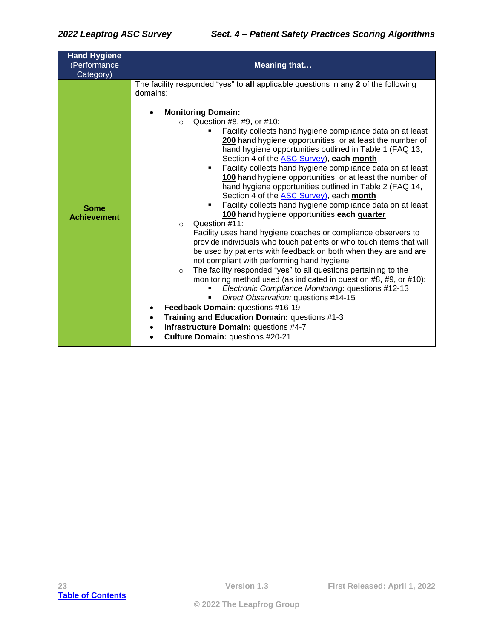| <b>Hand Hygiene</b><br>(Performance<br>Category) | <b>Meaning that</b>                                                                                                                                                                                                                                                                                                                                                                                                                                                                                                                                                                                                                                                                                                                                                                                                                                                                                                                                                                                                                                                                                                                                                                                                                                                                                                                                                                                                                                                                                                            |
|--------------------------------------------------|--------------------------------------------------------------------------------------------------------------------------------------------------------------------------------------------------------------------------------------------------------------------------------------------------------------------------------------------------------------------------------------------------------------------------------------------------------------------------------------------------------------------------------------------------------------------------------------------------------------------------------------------------------------------------------------------------------------------------------------------------------------------------------------------------------------------------------------------------------------------------------------------------------------------------------------------------------------------------------------------------------------------------------------------------------------------------------------------------------------------------------------------------------------------------------------------------------------------------------------------------------------------------------------------------------------------------------------------------------------------------------------------------------------------------------------------------------------------------------------------------------------------------------|
| <b>Some</b><br><b>Achievement</b>                | The facility responded "yes" to all applicable questions in any 2 of the following<br>domains:<br><b>Monitoring Domain:</b><br>Question #8, #9, or #10:<br>$\Omega$<br>Facility collects hand hygiene compliance data on at least<br>٠<br>200 hand hygiene opportunities, or at least the number of<br>hand hygiene opportunities outlined in Table 1 (FAQ 13,<br>Section 4 of the <b>ASC Survey</b> ), each month<br>Facility collects hand hygiene compliance data on at least<br>٠<br>100 hand hygiene opportunities, or at least the number of<br>hand hygiene opportunities outlined in Table 2 (FAQ 14,<br>Section 4 of the <b>ASC Survey</b> ), each <b>month</b><br>Facility collects hand hygiene compliance data on at least<br>٠<br>100 hand hygiene opportunities each quarter<br>Question #11:<br>$\Omega$<br>Facility uses hand hygiene coaches or compliance observers to<br>provide individuals who touch patients or who touch items that will<br>be used by patients with feedback on both when they are and are<br>not compliant with performing hand hygiene<br>The facility responded "yes" to all questions pertaining to the<br>$\circ$<br>monitoring method used (as indicated in question #8, #9, or #10):<br>Electronic Compliance Monitoring: questions #12-13<br>Direct Observation: questions #14-15<br>Feedback Domain: questions #16-19<br>$\bullet$<br>Training and Education Domain: questions #1-3<br>Infrastructure Domain: questions #4-7<br>$\bullet$<br>Culture Domain: questions #20-21 |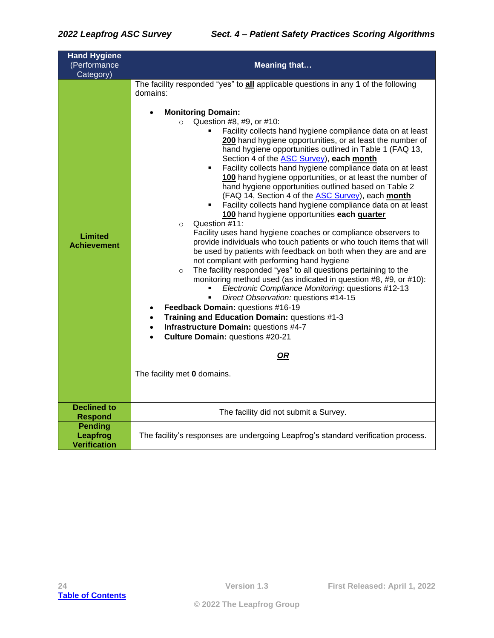| <b>Hand Hygiene</b><br>(Performance               | <b>Meaning that</b>                                                                                                                                                                                                                                                                                                                                                                                                                                                                                                                                                                                                                                                                                                                                                                                                                                                                                                                                                                                                                                                                                                                                                                                                                                                                                                                                                                                                                                                                                                                      |  |
|---------------------------------------------------|------------------------------------------------------------------------------------------------------------------------------------------------------------------------------------------------------------------------------------------------------------------------------------------------------------------------------------------------------------------------------------------------------------------------------------------------------------------------------------------------------------------------------------------------------------------------------------------------------------------------------------------------------------------------------------------------------------------------------------------------------------------------------------------------------------------------------------------------------------------------------------------------------------------------------------------------------------------------------------------------------------------------------------------------------------------------------------------------------------------------------------------------------------------------------------------------------------------------------------------------------------------------------------------------------------------------------------------------------------------------------------------------------------------------------------------------------------------------------------------------------------------------------------------|--|
| Category)                                         |                                                                                                                                                                                                                                                                                                                                                                                                                                                                                                                                                                                                                                                                                                                                                                                                                                                                                                                                                                                                                                                                                                                                                                                                                                                                                                                                                                                                                                                                                                                                          |  |
| Limited<br><b>Achievement</b>                     | The facility responded "yes" to all applicable questions in any 1 of the following<br>domains:<br><b>Monitoring Domain:</b><br>Question #8, #9, or #10:<br>$\circ$<br>Facility collects hand hygiene compliance data on at least<br>200 hand hygiene opportunities, or at least the number of<br>hand hygiene opportunities outlined in Table 1 (FAQ 13,<br>Section 4 of the ASC Survey), each month<br>Facility collects hand hygiene compliance data on at least<br>٠<br>100 hand hygiene opportunities, or at least the number of<br>hand hygiene opportunities outlined based on Table 2<br>(FAQ 14, Section 4 of the <b>ASC Survey</b> ), each month<br>Facility collects hand hygiene compliance data on at least<br>100 hand hygiene opportunities each quarter<br>Question #11:<br>$\circ$<br>Facility uses hand hygiene coaches or compliance observers to<br>provide individuals who touch patients or who touch items that will<br>be used by patients with feedback on both when they are and are<br>not compliant with performing hand hygiene<br>The facility responded "yes" to all questions pertaining to the<br>$\circ$<br>monitoring method used (as indicated in question #8, #9, or #10):<br>Electronic Compliance Monitoring: questions #12-13<br>Direct Observation: questions #14-15<br>Feedback Domain: questions #16-19<br>$\bullet$<br>Training and Education Domain: questions #1-3<br>Infrastructure Domain: questions #4-7<br>Culture Domain: questions #20-21<br><u>OR</u><br>The facility met 0 domains. |  |
| <b>Declined to</b><br><b>Respond</b>              | The facility did not submit a Survey.                                                                                                                                                                                                                                                                                                                                                                                                                                                                                                                                                                                                                                                                                                                                                                                                                                                                                                                                                                                                                                                                                                                                                                                                                                                                                                                                                                                                                                                                                                    |  |
| <b>Pending</b><br>Leapfrog<br><b>Verification</b> | The facility's responses are undergoing Leapfrog's standard verification process.                                                                                                                                                                                                                                                                                                                                                                                                                                                                                                                                                                                                                                                                                                                                                                                                                                                                                                                                                                                                                                                                                                                                                                                                                                                                                                                                                                                                                                                        |  |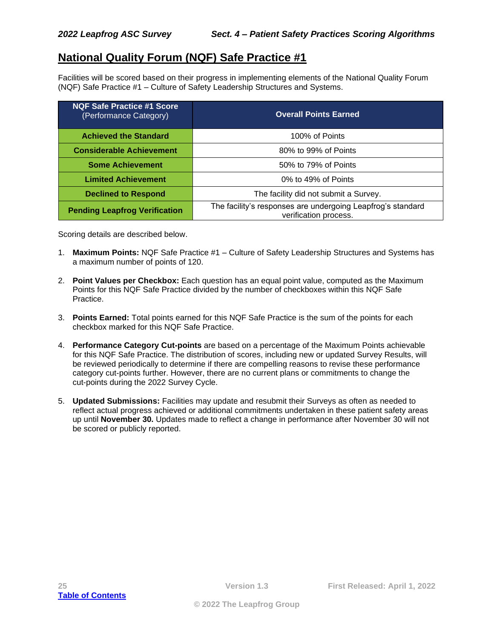## <span id="page-24-0"></span>**National Quality Forum (NQF) Safe Practice #1**

Facilities will be scored based on their progress in implementing elements of the National Quality Forum (NQF) Safe Practice #1 – Culture of Safety Leadership Structures and Systems.

| <b>NQF Safe Practice #1 Score</b><br>(Performance Category) | <b>Overall Points Earned</b>                                                         |
|-------------------------------------------------------------|--------------------------------------------------------------------------------------|
| <b>Achieved the Standard</b>                                | 100% of Points                                                                       |
| <b>Considerable Achievement</b>                             | 80% to 99% of Points                                                                 |
| <b>Some Achievement</b>                                     | 50% to 79% of Points                                                                 |
| <b>Limited Achievement</b>                                  | 0% to 49% of Points                                                                  |
| <b>Declined to Respond</b>                                  | The facility did not submit a Survey.                                                |
| <b>Pending Leapfrog Verification</b>                        | The facility's responses are undergoing Leapfrog's standard<br>verification process. |

Scoring details are described below.

- 1. **Maximum Points:** NQF Safe Practice #1 Culture of Safety Leadership Structures and Systems has a maximum number of points of 120.
- 2. **Point Values per Checkbox:** Each question has an equal point value, computed as the Maximum Points for this NQF Safe Practice divided by the number of checkboxes within this NQF Safe Practice.
- 3. **Points Earned:** Total points earned for this NQF Safe Practice is the sum of the points for each checkbox marked for this NQF Safe Practice.
- 4. **Performance Category Cut-points** are based on a percentage of the Maximum Points achievable for this NQF Safe Practice. The distribution of scores, including new or updated Survey Results, will be reviewed periodically to determine if there are compelling reasons to revise these performance category cut-points further. However, there are no current plans or commitments to change the cut-points during the 2022 Survey Cycle.
- 5. **Updated Submissions:** Facilities may update and resubmit their Surveys as often as needed to reflect actual progress achieved or additional commitments undertaken in these patient safety areas up until **November 30.** Updates made to reflect a change in performance after November 30 will not be scored or publicly reported.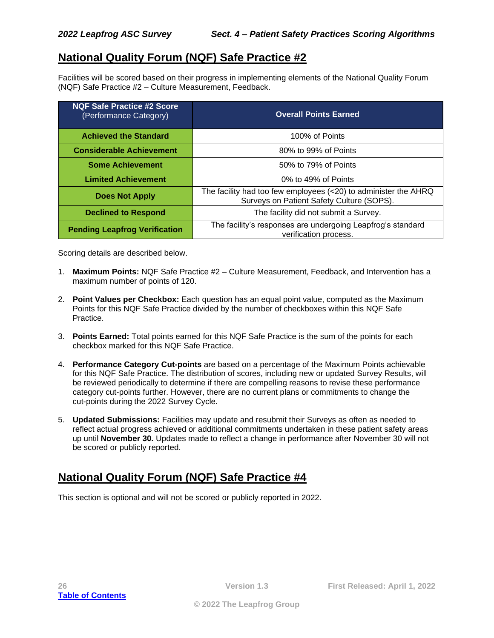## <span id="page-25-0"></span>**National Quality Forum (NQF) Safe Practice #2**

Facilities will be scored based on their progress in implementing elements of the National Quality Forum (NQF) Safe Practice #2 – Culture Measurement, Feedback.

| <b>NQF Safe Practice #2 Score</b><br>(Performance Category) | <b>Overall Points Earned</b>                                                                                 |
|-------------------------------------------------------------|--------------------------------------------------------------------------------------------------------------|
| <b>Achieved the Standard</b>                                | 100% of Points                                                                                               |
| <b>Considerable Achievement</b>                             | 80% to 99% of Points                                                                                         |
| <b>Some Achievement</b>                                     | 50% to 79% of Points                                                                                         |
| <b>Limited Achievement</b>                                  | 0% to 49% of Points                                                                                          |
| <b>Does Not Apply</b>                                       | The facility had too few employees (<20) to administer the AHRQ<br>Surveys on Patient Safety Culture (SOPS). |
| <b>Declined to Respond</b>                                  | The facility did not submit a Survey.                                                                        |
| <b>Pending Leapfrog Verification</b>                        | The facility's responses are undergoing Leapfrog's standard<br>verification process.                         |

Scoring details are described below.

- 1. **Maximum Points:** NQF Safe Practice #2 Culture Measurement, Feedback, and Intervention has a maximum number of points of 120.
- 2. **Point Values per Checkbox:** Each question has an equal point value, computed as the Maximum Points for this NQF Safe Practice divided by the number of checkboxes within this NQF Safe Practice.
- 3. **Points Earned:** Total points earned for this NQF Safe Practice is the sum of the points for each checkbox marked for this NQF Safe Practice.
- 4. **Performance Category Cut-points** are based on a percentage of the Maximum Points achievable for this NQF Safe Practice. The distribution of scores, including new or updated Survey Results, will be reviewed periodically to determine if there are compelling reasons to revise these performance category cut-points further. However, there are no current plans or commitments to change the cut-points during the 2022 Survey Cycle.
- 5. **Updated Submissions:** Facilities may update and resubmit their Surveys as often as needed to reflect actual progress achieved or additional commitments undertaken in these patient safety areas up until **November 30.** Updates made to reflect a change in performance after November 30 will not be scored or publicly reported.

## <span id="page-25-1"></span>**National Quality Forum (NQF) Safe Practice #4**

This section is optional and will not be scored or publicly reported in 2022.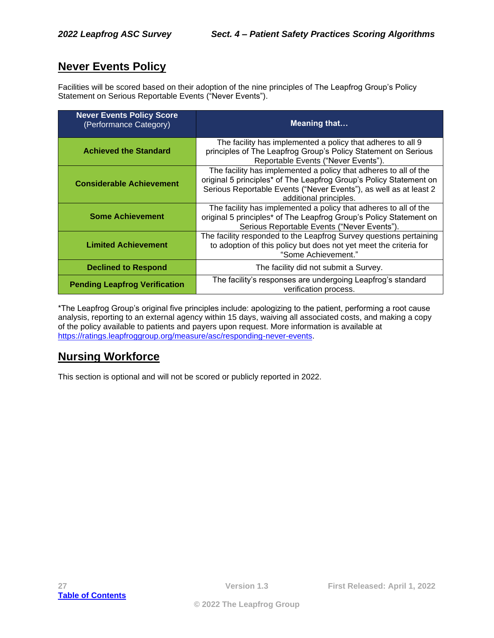## <span id="page-26-0"></span>**Never Events Policy**

Facilities will be scored based on their adoption of the nine principles of The Leapfrog Group's Policy Statement on Serious Reportable Events ("Never Events").

| <b>Never Events Policy Score</b><br>(Performance Category) | <b>Meaning that</b>                                                                                                                                                                                                                   |
|------------------------------------------------------------|---------------------------------------------------------------------------------------------------------------------------------------------------------------------------------------------------------------------------------------|
| <b>Achieved the Standard</b>                               | The facility has implemented a policy that adheres to all 9<br>principles of The Leapfrog Group's Policy Statement on Serious<br>Reportable Events ("Never Events").                                                                  |
| <b>Considerable Achievement</b>                            | The facility has implemented a policy that adheres to all of the<br>original 5 principles* of The Leapfrog Group's Policy Statement on<br>Serious Reportable Events ("Never Events"), as well as at least 2<br>additional principles. |
| <b>Some Achievement</b>                                    | The facility has implemented a policy that adheres to all of the<br>original 5 principles* of The Leapfrog Group's Policy Statement on<br>Serious Reportable Events ("Never Events").                                                 |
| <b>Limited Achievement</b>                                 | The facility responded to the Leapfrog Survey questions pertaining<br>to adoption of this policy but does not yet meet the criteria for<br>"Some Achievement."                                                                        |
| <b>Declined to Respond</b>                                 | The facility did not submit a Survey.                                                                                                                                                                                                 |
| <b>Pending Leapfrog Verification</b>                       | The facility's responses are undergoing Leapfrog's standard<br>verification process.                                                                                                                                                  |

\*The Leapfrog Group's original five principles include: apologizing to the patient, performing a root cause analysis, reporting to an external agency within 15 days, waiving all associated costs, and making a copy of the policy available to patients and payers upon request. More information is available at [https://ratings.leapfroggroup.org/measure/asc/responding-never-events.](https://ratings.leapfroggroup.org/measure/asc/responding-never-events)

## <span id="page-26-1"></span>**Nursing Workforce**

This section is optional and will not be scored or publicly reported in 2022.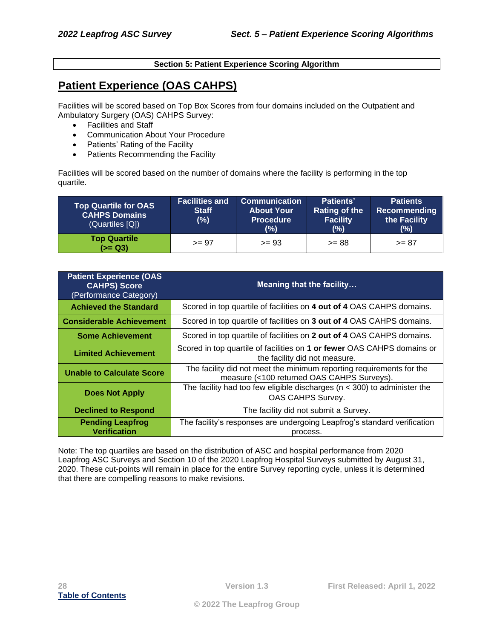#### **Section 5: Patient Experience Scoring Algorithm**

## <span id="page-27-1"></span><span id="page-27-0"></span>**Patient Experience (OAS CAHPS)**

Facilities will be scored based on Top Box Scores from four domains included on the Outpatient and Ambulatory Surgery (OAS) CAHPS Survey:

- Facilities and Staff
- Communication About Your Procedure
- Patients' Rating of the Facility
- Patients Recommending the Facility

Facilities will be scored based on the number of domains where the facility is performing in the top quartile.

| <b>Top Quartile for OAS</b><br><b>CAHPS Domains</b><br>(Quartiles [Q]) | <b>Facilities and</b><br><b>Staff</b><br>$(\%)$ | <b>Communication</b><br><b>About Your</b><br><b>Procedure</b><br>$(\%)$ | Patients'<br>Rating of the<br><b>Facility</b><br>(%) | <b>Patients</b><br>Recommending<br>the Facility<br>$(\%)$ |
|------------------------------------------------------------------------|-------------------------------------------------|-------------------------------------------------------------------------|------------------------------------------------------|-----------------------------------------------------------|
| <b>Top Quartile</b><br>$(>= Q3)$                                       | $>= 97$                                         | $>= 93$                                                                 | $>= 88$                                              | $>= 87$                                                   |

| <b>Patient Experience (OAS</b><br><b>CAHPS) Score</b><br>(Performance Category) | <b>Meaning that the facility</b>                                                                                   |
|---------------------------------------------------------------------------------|--------------------------------------------------------------------------------------------------------------------|
| <b>Achieved the Standard</b>                                                    | Scored in top quartile of facilities on 4 out of 4 OAS CAHPS domains.                                              |
| <b>Considerable Achievement</b>                                                 | Scored in top quartile of facilities on 3 out of 4 OAS CAHPS domains.                                              |
| <b>Some Achievement</b>                                                         | Scored in top quartile of facilities on 2 out of 4 OAS CAHPS domains.                                              |
| <b>Limited Achievement</b>                                                      | Scored in top quartile of facilities on 1 or fewer OAS CAHPS domains or<br>the facility did not measure.           |
| <b>Unable to Calculate Score</b>                                                | The facility did not meet the minimum reporting requirements for the<br>measure (<100 returned OAS CAHPS Surveys). |
| <b>Does Not Apply</b>                                                           | The facility had too few eligible discharges ( $n < 300$ ) to administer the<br>OAS CAHPS Survey.                  |
| <b>Declined to Respond</b>                                                      | The facility did not submit a Survey.                                                                              |
| <b>Pending Leapfrog</b><br><b>Verification</b>                                  | The facility's responses are undergoing Leapfrog's standard verification<br>process.                               |

Note: The top quartiles are based on the distribution of ASC and hospital performance from 2020 Leapfrog ASC Surveys and Section 10 of the 2020 Leapfrog Hospital Surveys submitted by August 31, 2020. These cut-points will remain in place for the entire Survey reporting cycle, unless it is determined that there are compelling reasons to make revisions.